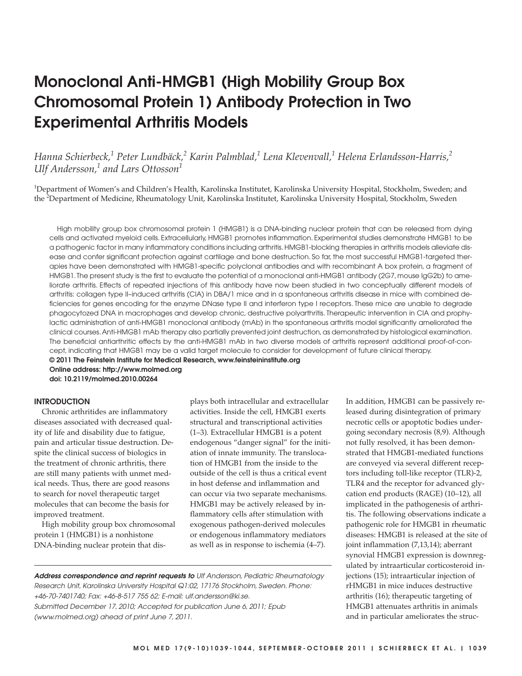# **Monoclonal Anti-HMGB1 (High Mobility Group Box Chromosomal Protein 1) Antibody Protection in Two Experimental Arthritis Models**

*Hanna Schierbeck,<sup>1</sup> Peter Lundbäck,<sup>2</sup> Karin Palmblad,1 Lena Klevenvall,<sup>1</sup> Helena Erlandsson-Harris,<sup>2</sup> Ulf Andersson,<sup>1</sup> and Lars Ottosson<sup>1</sup>*

<sup>1</sup>Department of Women's and Children's Health, Karolinska Institutet, Karolinska University Hospital, Stockholm, Sweden; and the <sup>2</sup>Department of Medicine, Rheumatology Unit, Karolinska Institutet, Karolinska University Hospital, Stockholm, Sweden

High mobility group box chromosomal protein 1 (HMGB1) is a DNA-binding nuclear protein that can be released from dying cells and activated myeloid cells. Extracellularly, HMGB1 promotes inflammation. Experimental studies demonstrate HMGB1 to be a pathogenic factor in many inflammatory conditions including arthritis. HMGB1-blocking therapies in arthritis models alleviate disease and confer significant protection against cartilage and bone destruction. So far, the most successful HMGB1-targeted therapies have been demonstrated with HMGB1-specific polyclonal antibodies and with recombinant A box protein, a fragment of HMGB1. The present study is the first to evaluate the potential of a monoclonal anti-HMGB1 antibody (2G7, mouse IgG2b) to ameliorate arthritis. Effects of repeated injections of this antibody have now been studied in two conceptually different models of arthritis: collagen type II–induced arthritis (CIA) in DBA/1 mice and in a spontaneous arthritis disease in mice with combined deficiencies for genes encoding for the enzyme DNase type II and interferon type I receptors. These mice are unable to degrade phagocytozed DNA in macrophages and develop chronic, destructive polyarthritis. Therapeutic intervention in CIA and prophylactic administration of anti-HMGB1 monoclonal antibody (mAb) in the spontaneous arthritis model significantly ameliorated the clinical courses. Anti-HMGB1 mAb therapy also partially prevented joint destruction, as demonstrated by histological examination. The beneficial antiarthritic effects by the anti-HMGB1 mAb in two diverse models of arthritis represent additional proof-of-concept, indicating that HMGB1 may be a valid target molecule to consider for development of future clinical therapy.

**© 2011 The Feinstein Institute for Medical Research, www.feinsteininstitute.org Online address: http://www.molmed.org**

**doi: 10.2119/molmed.2010.00264**

#### **INTRODUCTION**

Chronic arthritides are inflammatory diseases associated with decreased quality of life and disability due to fatigue, pain and articular tissue destruction. Despite the clinical success of biologics in the treatment of chronic arthritis, there are still many patients with unmet medical needs. Thus, there are good reasons to search for novel therapeutic target molecules that can become the basis for improved treatment.

High mobility group box chromosomal protein 1 (HMGB1) is a nonhistone DNA-binding nuclear protein that displays both intracellular and extracellular activities. Inside the cell, HMGB1 exerts structural and transcriptional activities (1–3). Extracellular HMGB1 is a potent endogenous "danger signal" for the initiation of innate immunity. The translocation of HMGB1 from the inside to the outside of the cell is thus a critical event in host defense and inflammation and can occur via two separate mechanisms. HMGB1 may be actively released by inflammatory cells after stimulation with exogenous pathogen-derived molecules or endogenous inflammatory mediators as well as in response to ischemia (4–7).

**Address correspondence and reprint requests to** Ulf Andersson, Pediatric Rheumatology Research Unit, Karolinska University Hospital Q1:02, 17176 Stockholm, Sweden. Phone: +46-70-7401740; Fax: +46-8-517 755 62; E-mail: ulf.andersson@ki.se. Submitted December 17, 2010; Accepted for publication June 6, 2011; Epub (www.molmed.org) ahead of print June 7, 2011.

In addition, HMGB1 can be passively released during disintegration of primary necrotic cells or apoptotic bodies undergoing secondary necrosis (8,9). Although not fully resolved, it has been demonstrated that HMGB1-mediated functions are conveyed via several different receptors including toll-like receptor (TLR)-2, TLR4 and the receptor for advanced glycation end products (RAGE) (10–12), all implicated in the pathogenesis of arthritis. The following observations indicate a pathogenic role for HMGB1 in rheumatic diseases: HMGB1 is released at the site of joint inflammation (7,13,14); aberrant synovial HMGB1 expression is downregulated by intraarticular corticosteroid injections (15); intraarticular injection of rHMGB1 in mice induces destructive arthritis (16); therapeutic targeting of HMGB1 attenuates arthritis in animals and in particular ameliorates the struc-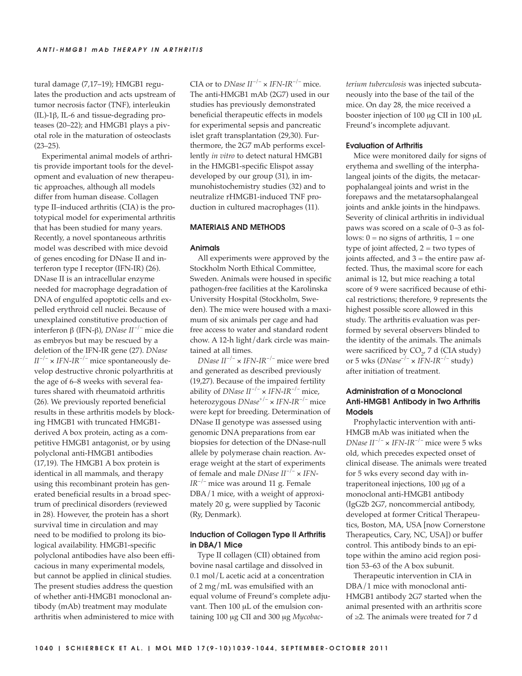tural damage (7,17–19); HMGB1 regulates the production and acts upstream of tumor necrosis factor (TNF), interleukin (IL)-1β, IL-6 and tissue-degrading proteases (20–22); and HMGB1 plays a pivotal role in the maturation of osteoclasts  $(23 - 25)$ .

Experimental animal models of arthritis provide important tools for the development and evaluation of new therapeutic approaches, although all models differ from human disease. Collagen type II–induced arthritis (CIA) is the prototypical model for experimental arthritis that has been studied for many years. Recently, a novel spontaneous arthritis model was described with mice devoid of genes encoding for DNase II and interferon type I receptor (IFN-IR) (26). DNase II is an intracellular enzyme needed for macrophage degradation of DNA of engulfed apoptotic cells and expelled erythroid cell nuclei. Because of unexplained constitutive production of interferon β (IFN-β), *DNase II* –/– mice die as embryos but may be rescued by a deletion of the IFN-IR gene (27). *DNase*  $II^{-/-} \times IFN-IR^{-/-}$  mice spontaneously develop destructive chronic polyarthritis at the age of 6–8 weeks with several features shared with rheumatoid arthritis (26). We previously reported beneficial results in these arthritis models by blocking HMGB1 with truncated HMGB1 derived A box protein, acting as a competitive HMGB1 antagonist, or by using polyclonal anti-HMGB1 antibodies (17,19). The HMGB1 A box protein is identical in all mammals, and therapy using this recombinant protein has generated beneficial results in a broad spectrum of preclinical disorders (reviewed in 28). However, the protein has a short survival time in circulation and may need to be modified to prolong its biological availability. HMGB1-specific polyclonal antibodies have also been efficacious in many experimental models, but cannot be applied in clinical studies. The present studies address the question of whether anti-HMGB1 monoclonal antibody (mAb) treatment may modulate arthritis when administered to mice with

CIA or to *DNase*  $II^{-/-} \times IFN-IR^{-/-}$  mice. The anti-HMGB1 mAb (2G7) used in our studies has previously demonstrated beneficial therapeutic effects in models for experimental sepsis and pancreatic islet graft transplantation (29,30). Furthermore, the 2G7 mAb performs excellently *in vitro* to detect natural HMGB1 in the HMGB1-specific Elispot assay developed by our group (31), in immunohistochemistry studies (32) and to neutralize rHMGB1-induced TNF production in cultured macrophages (11).

#### **MATERIALS AND METHODS**

#### **Animals**

All experiments were approved by the Stockholm North Ethical Committee, Sweden. Animals were housed in specific pathogen-free facilities at the Karolinska University Hospital (Stockholm, Sweden). The mice were housed with a maximum of six animals per cage and had free access to water and standard rodent chow. A 12-h light/dark circle was maintained at all times.

*DNase II* –/– × *IFN-IR*–/– mice were bred and generated as described previously (19,27). Because of the impaired fertility ability of *DNase II* –/– × *IFN-IR*–/– mice, heterozygous *DNase*+/– × *IFN-IR*–/– mice were kept for breeding. Determination of DNase II genotype was assessed using genomic DNA preparations from ear biopsies for detection of the DNase-null allele by polymerase chain reaction. Average weight at the start of experiments of female and male *DNase II* –/– × *IFN-IR*–/– mice was around 11 g. Female DBA/1 mice, with a weight of approximately 20 g, were supplied by Taconic (Ry, Denmark).

## **Induction of Collagen Type II Arthritis in DBA/1 Mice**

Type II collagen (CII) obtained from bovine nasal cartilage and dissolved in 0.1 mol/L acetic acid at a concentration of 2 mg/mL was emulsified with an equal volume of Freund's complete adjuvant. Then 100 μL of the emulsion containing 100 μg CII and 300 μg *Mycobac-* *terium tuberculosis* was injected subcutaneously into the base of the tail of the mice. On day 28, the mice received a booster injection of 100 μg CII in 100 μL Freund's incomplete adjuvant.

#### **Evaluation of Arthritis**

Mice were monitored daily for signs of erythema and swelling of the interphalangeal joints of the digits, the metacarpophalangeal joints and wrist in the forepaws and the metatarsophalangeal joints and ankle joints in the hindpaws. Severity of clinical arthritis in individual paws was scored on a scale of 0–3 as follows:  $0 = no$  signs of arthritis,  $1 = one$ type of joint affected,  $2 =$  two types of joints affected, and  $3 =$  the entire paw affected. Thus, the maximal score for each animal is 12, but mice reaching a total score of 9 were sacrificed because of ethical restrictions; therefore, 9 represents the highest possible score allowed in this study. The arthritis evaluation was performed by several observers blinded to the identity of the animals. The animals were sacrificed by  $CO<sub>2</sub>$ , 7 d (CIA study) or 5 wks (*DNase*–/– × *IFN-IR*–/– study) after initiation of treatment.

# **Administration of a Monoclonal Anti-HMGB1 Antibody in Two Arthritis Models**

Prophylactic intervention with anti-HMGB mAb was initiated when the *DNase*  $II^{-/-}$   $\times$  *IFN-IR<sup>-/-</sup>* mice were 5 wks old, which precedes expected onset of clinical disease. The animals were treated for 5 wks every second day with intraperitoneal injections, 100 μg of a monoclonal anti-HMGB1 antibody (IgG2b 2G7, noncommercial antibody, developed at former Critical Therapeutics, Boston, MA, USA [now Cornerstone Therapeutics, Cary, NC, USA]) or buffer control. This antibody binds to an epitope within the amino acid region position 53–63 of the A box subunit.

Therapeutic intervention in CIA in DBA/1 mice with monoclonal anti-HMGB1 antibody 2G7 started when the animal presented with an arthritis score of ≥2. The animals were treated for 7 d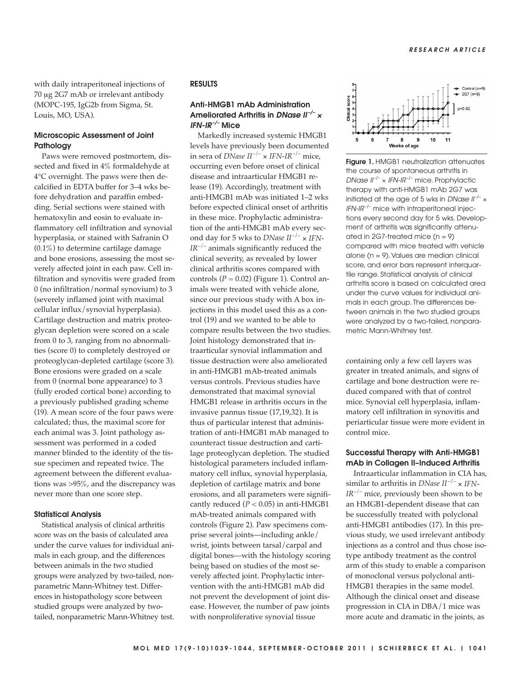with daily intraperitoneal injections of 70 μg 2G7 mAb or irrelevant antibody (MOPC-195, IgG2b from Sigma, St. Louis, MO, USA).

# **Microscopic Assessment of Joint Pathology**

Paws were removed postmortem, dissected and fixed in 4% formaldehyde at 4°C overnight. The paws were then decalcified in EDTA buffer for 3–4 wks before dehydration and paraffin embedding. Serial sections were stained with hematoxylin and eosin to evaluate inflammatory cell infiltration and synovial hyperplasia, or stained with Safranin O  $(0.1\%)$  to determine cartilage damage and bone erosions, assessing the most severely affected joint in each paw. Cell infiltration and synovitis were graded from 0 (no infiltration/normal synovium) to 3 (severely inflamed joint with maximal cellular influx/synovial hyperplasia). Cartilage destruction and matrix proteoglycan depletion were scored on a scale from 0 to 3, ranging from no abnormalities (score 0) to completely destroyed or proteoglycan-depleted cartilage (score 3). Bone erosions were graded on a scale from 0 (normal bone appearance) to 3 (fully eroded cortical bone) according to a previously published grading scheme (19). A mean score of the four paws were calculated; thus, the maximal score for each animal was 3. Joint pathology assessment was performed in a coded manner blinded to the identity of the tissue specimen and repeated twice. The agreement between the different evaluations was >95%, and the discrepancy was never more than one score step.

## **Statistical Analysis**

Statistical analysis of clinical arthritis score was on the basis of calculated area under the curve values for individual animals in each group, and the differences between animals in the two studied groups were analyzed by two-tailed, nonparametric Mann-Whitney test. Differences in histopathology score between studied groups were analyzed by twotailed, nonparametric Mann-Whitney test.

# **RESULTS**

# **Anti-HMGB1 mAb Administration Ameliorated Arthritis in DNase II–/–** <sup>×</sup> **IFN-IR–/– Mice**

Markedly increased systemic HMGB1 levels have previously been documented in sera of *DNase*  $II^{-/-} \times IFN-IR^{-/-}$  mice, occurring even before onset of clinical disease and intraarticular HMGB1 release (19). Accordingly, treatment with anti-HMGB1 mAb was initiated 1–2 wks before expected clinical onset of arthritis in these mice. Prophylactic administration of the anti-HMGB1 mAb every second day for 5 wks to *DNase II* –/– × *IFN-IR*–/– animals significantly reduced the clinical severity, as revealed by lower clinical arthritis scores compared with controls  $(P = 0.02)$  (Figure 1). Control animals were treated with vehicle alone, since our previous study with A box injections in this model used this as a control (19) and we wanted to be able to compare results between the two studies. Joint histology demonstrated that intraarticular synovial inflammation and tissue destruction were also ameliorated in anti-HMGB1 mAb-treated animals versus controls. Previous studies have demonstrated that maximal synovial HMGB1 release in arthritis occurs in the invasive pannus tissue (17,19,32). It is thus of particular interest that administration of anti-HMGB1 mAb managed to counteract tissue destruction and cartilage proteoglycan depletion. The studied histological parameters included inflammatory cell influx, synovial hyperplasia, depletion of cartilage matrix and bone erosions, and all parameters were significantly reduced  $(P < 0.05)$  in anti-HMGB1 mAb-treated animals compared with controls (Figure 2). Paw specimens comprise several joints—including ankle/ wrist, joints between tarsal/carpal and digital bones—with the histology scoring being based on studies of the most severely affected joint. Prophylactic intervention with the anti-HMGB1 mAb did not prevent the development of joint disease. However, the number of paw joints with nonproliferative synovial tissue



**Figure 1. HMGB1 neutralization attenuates** the course of spontaneous arthritis in DNase  $II^{-/-}$  × IFN-IR<sup>-/-</sup> mice. Prophylactic therapy with anti-HMGB1 mAb 2G7 was initiated at the age of 5 wks in DNase  $II^{-/-}$   $\times$ IFN-IR<sup>-/-</sup> mice with intraperitoneal injections every second day for 5 wks. Development of arthritis was significantly attenuated in  $2G7$ -treated mice (n = 9) compared with mice treated with vehicle alone (n = 9). Values are median clinical score, and error bars represent interquartile range. Statistical analysis of clinical arthritis score is based on calculated area under the curve values for individual animals in each group. The differences between animals in the two studied groups were analyzed by a two-tailed, nonparametric Mann-Whitney test.

containing only a few cell layers was greater in treated animals, and signs of cartilage and bone destruction were reduced compared with that of control mice. Synovial cell hyperplasia, inflammatory cell infiltration in synovitis and periarticular tissue were more evident in control mice.

## **Successful Therapy with Anti-HMGB1 mAb in Collagen II–Induced Arthritis**

Intraarticular inflammation in CIA has, similar to arthritis in *DNase*  $II^{-/-} \times IFN$ -*IR*–/– mice, previously been shown to be an HMGB1-dependent disease that can be successfully treated with polyclonal anti-HMGB1 antibodies (17). In this previous study, we used irrelevant antibody injections as a control and thus chose isotype antibody treatment as the control arm of this study to enable a comparison of monoclonal versus polyclonal anti-HMGB1 therapies in the same model. Although the clinical onset and disease progression in CIA in DBA/1 mice was more acute and dramatic in the joints, as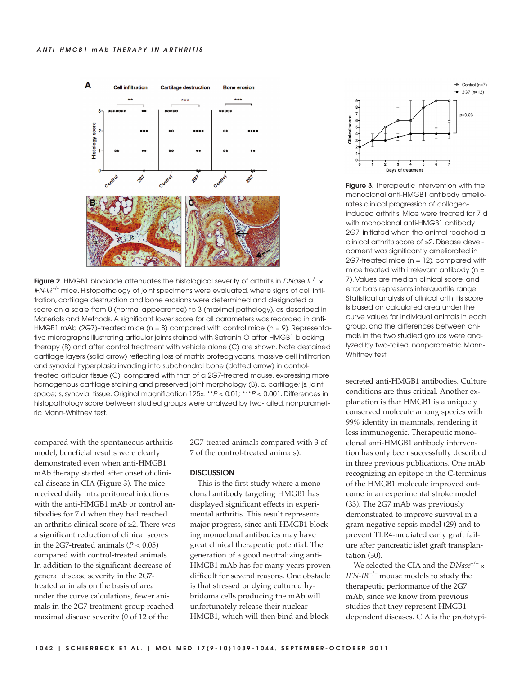

**Figure 2.** HMGB1 blockade attenuates the histological severity of arthritis in DNase II<sup>-/-</sup> x  $IFN-IF^{-/-}$  mice. Histopathology of joint specimens were evaluated, where signs of cell infiltration, cartilage destruction and bone erosions were determined and designated a score on a scale from 0 (normal appearance) to 3 (maximal pathology), as described in Materials and Methods. A significant lower score for all parameters was recorded in anti-HMGB1 mAb (2G7)-treated mice ( $n = 8$ ) compared with control mice ( $n = 9$ ). Representative micrographs illustrating articular joints stained with Safranin O after HMGB1 blocking therapy (B) and after control treatment with vehicle alone (C) are shown. Note destained cartilage layers (solid arrow) reflecting loss of matrix proteoglycans, massive cell infiltration and synovial hyperplasia invading into subchondral bone (dotted arrow) in controltreated articular tissue (C), compared with that of a 2G7-treated mouse, expressing more homogenous cartilage staining and preserved joint morphology (B). c, cartilage; js, joint space; s, synovial tissue. Original magnification  $125x.$  \*\*P < 0.01; \*\*\*P < 0.001. Differences in histopathology score between studied groups were analyzed by two-tailed, nonparametric Mann-Whitney test.

compared with the spontaneous arthritis model, beneficial results were clearly demonstrated even when anti-HMGB1 mAb therapy started after onset of clinical disease in CIA (Figure 3). The mice received daily intraperitoneal injections with the anti-HMGB1 mAb or control antibodies for 7 d when they had reached an arthritis clinical score of ≥2. There was a significant reduction of clinical scores in the 2G7-treated animals  $(P < 0.05)$ compared with control-treated animals. In addition to the significant decrease of general disease severity in the 2G7 treated animals on the basis of area under the curve calculations, fewer animals in the 2G7 treatment group reached maximal disease severity (0 of 12 of the

2G7-treated animals compared with 3 of 7 of the control-treated animals).

#### **DISCUSSION**

This is the first study where a monoclonal antibody targeting HMGB1 has displayed significant effects in experimental arthritis. This result represents major progress, since anti-HMGB1 blocking monoclonal antibodies may have great clinical therapeutic potential. The generation of a good neutralizing anti-HMGB1 mAb has for many years proven difficult for several reasons. One obstacle is that stressed or dying cultured hybridoma cells producing the mAb will unfortunately release their nuclear HMGB1, which will then bind and block



**Figure 3.** Therapeutic intervention with the monoclonal anti-HMGB1 antibody ameliorates clinical progression of collageninduced arthritis. Mice were treated for 7 d with monoclonal anti-HMGB1 antibody 2G7, initiated when the animal reached a clinical arthritis score of ≥2. Disease development was significantly ameliorated in 2G7-treated mice (n = 12), compared with mice treated with irrelevant antibody ( $n =$ 7). Values are median clinical score, and error bars represents interquartile range. Statistical analysis of clinical arthritis score is based on calculated area under the curve values for individual animals in each group, and the differences between animals in the two studied groups were analyzed by two-tailed, nonparametric Mann-Whitney test.

secreted anti-HMGB1 antibodies. Culture conditions are thus critical. Another explanation is that HMGB1 is a uniquely conserved molecule among species with 99% identity in mammals, rendering it less immunogenic. Therapeutic monoclonal anti-HMGB1 antibody intervention has only been successfully described in three previous publications. One mAb recognizing an epitope in the C-terminus of the HMGB1 molecule improved outcome in an experimental stroke model (33). The 2G7 mAb was previously demonstrated to improve survival in a gram-negative sepsis model (29) and to prevent TLR4-mediated early graft failure after pancreatic islet graft transplantation (30).

We selected the CIA and the *DNase*–/– × *IFN-IR*–/– mouse models to study the therapeutic performance of the 2G7 mAb, since we know from previous studies that they represent HMGB1 dependent diseases. CIA is the prototypi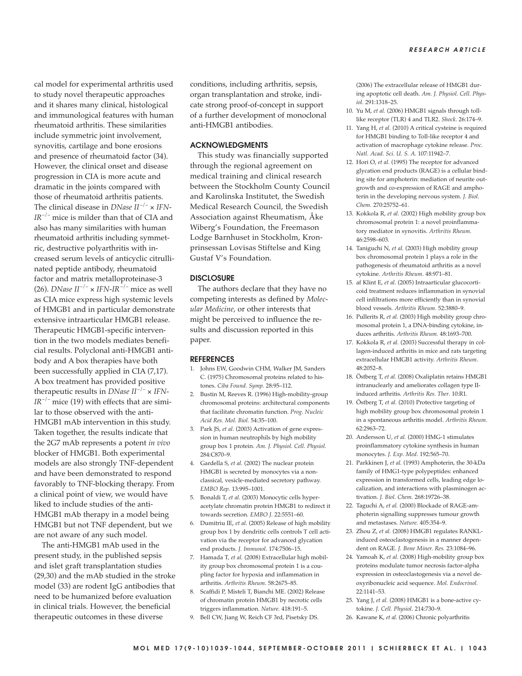cal model for experimental arthritis used to study novel therapeutic approaches and it shares many clinical, histological and immunological features with human rheumatoid arthritis. These similarities include symmetric joint involvement, synovitis, cartilage and bone erosions and presence of rheumatoid factor (34). However, the clinical onset and disease progression in CIA is more acute and dramatic in the joints compared with those of rheumatoid arthritis patients. The clinical disease in *DNase*  $II^{-/-} \times IFN$ -*IR*–/– mice is milder than that of CIA and also has many similarities with human rheumatoid arthritis including symmetric, destructive polyarthritis with increased serum levels of anticyclic citrullinated peptide antibody, rheumatoid factor and matrix metalloproteinase-3 (26). *DNase*  $II^{-/-} \times IFN-IR^{-/-}$  mice as well as CIA mice express high systemic levels of HMGB1 and in particular demonstrate extensive intraarticular HMGB1 release. Therapeutic HMGB1-specific intervention in the two models mediates beneficial results. Polyclonal anti-HMGB1 antibody and A box therapies have both been successfully applied in CIA (7,17). A box treatment has provided positive therapeutic results in *DNase*  $II^{-/-} \times IFN$ - $IR^{-/-}$  mice (19) with effects that are similar to those observed with the anti-HMGB1 mAb intervention in this study. Taken together, the results indicate that the 2G7 mAb represents a potent *in vivo* blocker of HMGB1. Both experimental models are also strongly TNF-dependent and have been demonstrated to respond favorably to TNF-blocking therapy. From a clinical point of view, we would have liked to include studies of the anti-HMGB1 mAb therapy in a model being HMGB1 but not TNF dependent, but we are not aware of any such model.

The anti-HMGB1 mAb used in the present study, in the published sepsis and islet graft transplantation studies (29,30) and the mAb studied in the stroke model (33) are rodent IgG antibodies that need to be humanized before evaluation in clinical trials. However, the beneficial therapeutic outcomes in these diverse

conditions, including arthritis, sepsis, organ transplantation and stroke, indicate strong proof-of-concept in support of a further development of monoclonal anti-HMGB1 antibodies.

## **ACKNOWLEDGMENTS**

This study was financially supported through the regional agreement on medical training and clinical research between the Stockholm County Council and Karolinska Institutet, the Swedish Medical Research Council, the Swedish Association against Rheumatism, Åke Wiberg's Foundation, the Freemason Lodge Barnhuset in Stockholm, Kronprinsessan Lovisas Stiftelse and King Gustaf V's Foundation.

## **DISCLOSURE**

The authors declare that they have no competing interests as defined by *Molecular Medicine*, or other interests that might be perceived to influence the results and discussion reported in this paper.

#### **REFERENCES**

- 1. Johns EW, Goodwin CHM, Walker JM, Sanders C. (1975) Chromosomal proteins related to histones. *Ciba Found. Symp.* 28:95–112.
- 2. Bustin M, Reeves R. (1996) High-mobility-group chromosomal proteins: architectural components that facilitate chromatin function. *Prog. Nucleic Acid Res. Mol. Biol.* 54:35–100.
- 3. Park JS, *et al.* (2003) Activation of gene expression in human neutrophils by high mobility group box 1 protein. *Am. J. Physiol. Cell. Physiol.* 284:C870–9.
- 4. Gardella S, *et al.* (2002) The nuclear protein HMGB1 is secreted by monocytes via a non classical, vesicle-mediated secretory pathway. *EMBO Rep.* 13:995–1001.
- 5. Bonaldi T, *et al.* (2003) Monocytic cells hyperacetylate chromatin protein HMGB1 to redirect it towards secretion. *EMBO J.* 22:5551–60.
- 6. Dumitriu IE, *et al.* (2005) Release of high mobility group box 1 by dendritic cells controls T cell activation via the receptor for advanced glycation end products. *J. Immunol*. 174:7506–15.
- 7. Hamada T, *et al.* (2008) Extracellular high mobility group box chromosomal protein 1 is a coupling factor for hypoxia and inflammation in arthritis. *Arthritis Rheum*. 58:2675–85.
- 8. Scaffidi P, Misteli T, Bianchi ME. (2002) Release of chromatin protein HMGB1 by necrotic cells triggers inflammation. *Nature.* 418:191–5.
- 9. Bell CW, Jiang W, Reich CF 3rd, Pisetsky DS.

(2006) The extracellular release of HMGB1 during apoptotic cell death. *Am. J. Physiol. Cell. Physiol.* 291:1318–25.

- 10. Yu M, *et al.* (2006) HMGB1 signals through tolllike receptor (TLR) 4 and TLR2. *Shock*. 26:174–9.
- 11. Yang H, *et al.* (2010) A critical cysteine is required for HMGB1 binding to Toll-like receptor 4 and activation of macrophage cytokine release. *Proc. Natl. Acad. Sci. U. S. A.* 107:11942–7.
- 12. Hori O, *et al.* (1995) The receptor for advanced glycation end products (RAGE) is a cellular binding site for amphoterin: mediation of neurite outgrowth and co-expression of RAGE and amphoterin in the developing nervous system. *J. Biol. Chem.* 270:25752–61.
- 13. Kokkola R, *et al.* (2002) High mobility group box chromosomal protein 1: a novel proinflammatory mediator in synovitis. *Arthritis Rheum*. 46:2598– 603.
- 14. Taniguchi N, *et al.* (2003) High mobility group box chromosomal protein 1 plays a role in the pathogenesis of rheumatoid arthritis as a novel cytokine. *Arthritis Rheum*. 48:971–81.
- 15. af Klint E, *et al.* (2005) Intraarticular glucocorticoid treatment reduces inflammation in synovial cell infiltrations more efficiently than in synovial blood vessels. *Arthritis Rheum.* 52:3880–9.
- 16. Pullerits R, *et al.* (2003) High mobility group chromosomal protein 1, a DNA-binding cytokine, induces arthritis. *Arthritis Rheum.* 48:1693–700.
- 17. Kokkola R, *et al.* (2003) Successful therapy in collagen-induced arthritis in mice and rats targeting extracellular HMGB1 activity. *Arthritis Rheum*. 48:2052–8.
- 18. Östberg T, *et al.* (2008) Oxaliplatin retains HMGB1 intranuclearly and ameliorates collagen type IIinduced arthritis. *Arthritis Res. Ther*. 10:R1.
- 19. Östberg T, *et al.* (2010) Protective targeting of high mobility group box chromosomal protein 1 in a spontaneous arthritis model. *Arthritis Rheum.* 62:2963–72.
- 20. Andersson U, *et al.* (2000) HMG-1 stimulates proinflammatory cytokine synthesis in human monocytes. *J. Exp. Med.* 192:565–70.
- 21. Parkkinen J, *et al.* (1993) Amphoterin, the 30-kDa family of HMG1-type polypeptides: enhanced expression in transformed cells, leading edge localization, and interactions with plasminogen activation. *J. Biol. Chem.* 268:19726–38.
- 22. Taguchi A, *et al.* (2000) Blockade of RAGE-amphoterin signalling suppresses tumour growth and metastases. *Nature.* 405:354–9.
- 23. Zhou Z, *et al.* (2008) HMGB1 regulates RANKLinduced osteoclastogenesis in a manner dependent on RAGE. *J. Bone Miner. Res.* 23:1084–96.
- 24. Yamoah K, *et al.* (2008) High-mobility group box proteins modulate tumor necrosis factor-alpha expression in osteoclastogenesis via a novel deoxyribonucleic acid sequence. *Mol. Endocrinol.* 22:1141–53.
- 25. Yang J, *et al.* (2008) HMGB1 is a bone-active cytokine. *J. Cell. Physiol*. 214:730–9.
- 26. Kawane K, *et al.* (2006) Chronic polyarthritis